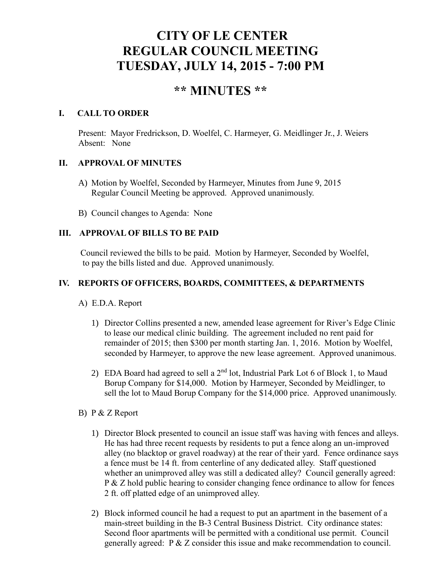# **CITY OF LE CENTER REGULAR COUNCIL MEETING TUESDAY, JULY 14, 2015 - 7:00 PM**

# **\*\* MINUTES \*\***

### **I. CALL TO ORDER**

Present: Mayor Fredrickson, D. Woelfel, C. Harmeyer, G. Meidlinger Jr., J. Weiers Absent: None

### **II. APPROVAL OF MINUTES**

- A) Motion by Woelfel, Seconded by Harmeyer, Minutes from June 9, 2015 Regular Council Meeting be approved. Approved unanimously.
- B) Council changes to Agenda: None

## **III. APPROVAL OF BILLS TO BE PAID**

Council reviewed the bills to be paid. Motion by Harmeyer, Seconded by Woelfel, to pay the bills listed and due. Approved unanimously.

## **IV. REPORTS OF OFFICERS, BOARDS, COMMITTEES, & DEPARTMENTS**

A) E.D.A. Report

- 1) Director Collins presented a new, amended lease agreement for River's Edge Clinic to lease our medical clinic building. The agreement included no rent paid for remainder of 2015; then \$300 per month starting Jan. 1, 2016. Motion by Woelfel, seconded by Harmeyer, to approve the new lease agreement. Approved unanimous.
- 2) EDA Board had agreed to sell a  $2<sup>nd</sup>$  lot, Industrial Park Lot 6 of Block 1, to Maud Borup Company for \$14,000. Motion by Harmeyer, Seconded by Meidlinger, to sell the lot to Maud Borup Company for the \$14,000 price. Approved unanimously.
- B) P & Z Report
	- 1) Director Block presented to council an issue staff was having with fences and alleys. He has had three recent requests by residents to put a fence along an un-improved alley (no blacktop or gravel roadway) at the rear of their yard. Fence ordinance says a fence must be 14 ft. from centerline of any dedicated alley. Staff questioned whether an unimproved alley was still a dedicated alley? Council generally agreed: P & Z hold public hearing to consider changing fence ordinance to allow for fences 2 ft. off platted edge of an unimproved alley.
	- 2) Block informed council he had a request to put an apartment in the basement of a main-street building in the B-3 Central Business District. City ordinance states: Second floor apartments will be permitted with a conditional use permit. Council generally agreed: P & Z consider this issue and make recommendation to council.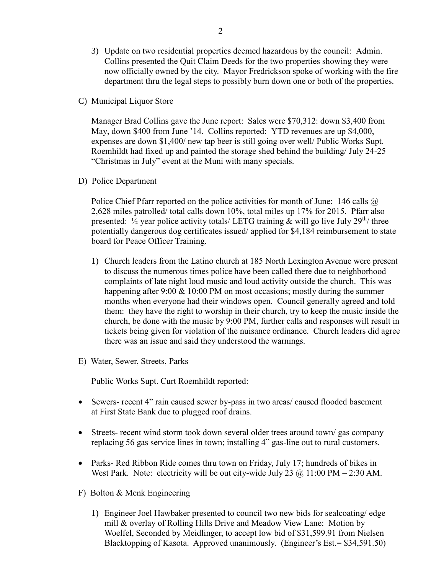- 3) Update on two residential properties deemed hazardous by the council: Admin. Collins presented the Quit Claim Deeds for the two properties showing they were now officially owned by the city. Mayor Fredrickson spoke of working with the fire department thru the legal steps to possibly burn down one or both of the properties.
- C) Municipal Liquor Store

Manager Brad Collins gave the June report: Sales were \$70,312: down \$3,400 from May, down \$400 from June '14. Collins reported: YTD revenues are up \$4,000, expenses are down \$1,400/ new tap beer is still going over well/ Public Works Supt. Roemhildt had fixed up and painted the storage shed behind the building/ July 24-25 "Christmas in July" event at the Muni with many specials.

D) Police Department

Police Chief Pfarr reported on the police activities for month of June: 146 calls  $\omega$ 2,628 miles patrolled/ total calls down 10%, total miles up 17% for 2015. Pfarr also presented:  $\frac{1}{2}$  year police activity totals/ LETG training & will go live July 29<sup>th</sup>/ three potentially dangerous dog certificates issued/ applied for \$4,184 reimbursement to state board for Peace Officer Training.

- 1) Church leaders from the Latino church at 185 North Lexington Avenue were present to discuss the numerous times police have been called there due to neighborhood complaints of late night loud music and loud activity outside the church. This was happening after 9:00 & 10:00 PM on most occasions; mostly during the summer months when everyone had their windows open. Council generally agreed and told them: they have the right to worship in their church, try to keep the music inside the church, be done with the music by 9:00 PM, further calls and responses will result in tickets being given for violation of the nuisance ordinance. Church leaders did agree there was an issue and said they understood the warnings.
- E) Water, Sewer, Streets, Parks

Public Works Supt. Curt Roemhildt reported:

- Sewers- recent 4" rain caused sewer by-pass in two areas/ caused flooded basement at First State Bank due to plugged roof drains.
- Streets- recent wind storm took down several older trees around town/ gas company replacing 56 gas service lines in town; installing 4" gas-line out to rural customers.
- Parks- Red Ribbon Ride comes thru town on Friday, July 17; hundreds of bikes in West Park. Note: electricity will be out city-wide July 23  $\omega$  11:00 PM – 2:30 AM.
- F) Bolton & Menk Engineering
	- 1) Engineer Joel Hawbaker presented to council two new bids for sealcoating/ edge mill & overlay of Rolling Hills Drive and Meadow View Lane: Motion by Woelfel, Seconded by Meidlinger, to accept low bid of \$31,599.91 from Nielsen Blacktopping of Kasota. Approved unanimously. (Engineer's Est.= \$34,591.50)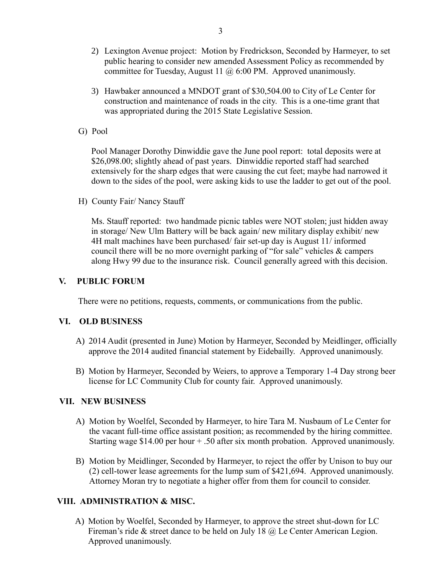- 2) Lexington Avenue project: Motion by Fredrickson, Seconded by Harmeyer, to set public hearing to consider new amended Assessment Policy as recommended by committee for Tuesday, August 11 @ 6:00 PM. Approved unanimously.
- 3) Hawbaker announced a MNDOT grant of \$30,504.00 to City of Le Center for construction and maintenance of roads in the city. This is a one-time grant that was appropriated during the 2015 State Legislative Session.
- G) Pool

 Pool Manager Dorothy Dinwiddie gave the June pool report: total deposits were at \$26,098.00; slightly ahead of past years. Dinwiddie reported staff had searched extensively for the sharp edges that were causing the cut feet; maybe had narrowed it down to the sides of the pool, were asking kids to use the ladder to get out of the pool.

H) County Fair/ Nancy Stauff

 Ms. Stauff reported: two handmade picnic tables were NOT stolen; just hidden away in storage/ New Ulm Battery will be back again/ new military display exhibit/ new 4H malt machines have been purchased/ fair set-up day is August 11/ informed council there will be no more overnight parking of "for sale" vehicles & campers along Hwy 99 due to the insurance risk. Council generally agreed with this decision.

#### **V. PUBLIC FORUM**

There were no petitions, requests, comments, or communications from the public.

#### **VI. OLD BUSINESS**

- A) 2014 Audit (presented in June) Motion by Harmeyer, Seconded by Meidlinger, officially approve the 2014 audited financial statement by Eidebailly. Approved unanimously.
- B) Motion by Harmeyer, Seconded by Weiers, to approve a Temporary 1-4 Day strong beer license for LC Community Club for county fair. Approved unanimously.

#### **VII. NEW BUSINESS**

- A) Motion by Woelfel, Seconded by Harmeyer, to hire Tara M. Nusbaum of Le Center for the vacant full-time office assistant position; as recommended by the hiring committee. Starting wage \$14.00 per hour  $+ .50$  after six month probation. Approved unanimously.
- B) Motion by Meidlinger, Seconded by Harmeyer, to reject the offer by Unison to buy our (2) cell-tower lease agreements for the lump sum of \$421,694. Approved unanimously. Attorney Moran try to negotiate a higher offer from them for council to consider.

#### **VIII. ADMINISTRATION & MISC.**

A) Motion by Woelfel, Seconded by Harmeyer, to approve the street shut-down for LC Fireman's ride & street dance to be held on July 18 @ Le Center American Legion. Approved unanimously.